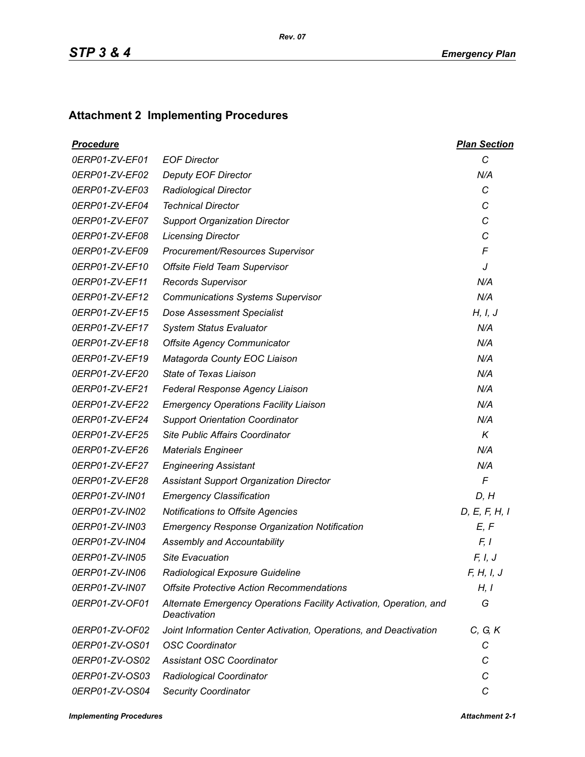## **Attachment 2 Implementing Procedures**

| <u>Procedure</u> |                                                                                    | <b>Plan Section</b> |
|------------------|------------------------------------------------------------------------------------|---------------------|
| 0ERP01-ZV-EF01   | <b>EOF Director</b>                                                                | $\mathcal{C}$       |
| 0ERP01-ZV-EF02   | <b>Deputy EOF Director</b>                                                         | N/A                 |
| 0ERP01-ZV-EF03   | <b>Radiological Director</b>                                                       | C                   |
| 0ERP01-ZV-EF04   | <b>Technical Director</b>                                                          | C                   |
| 0ERP01-ZV-EF07   | <b>Support Organization Director</b>                                               | С                   |
| 0ERP01-ZV-EF08   | <b>Licensing Director</b>                                                          | C                   |
| 0ERP01-ZV-EF09   | Procurement/Resources Supervisor                                                   | F                   |
| 0ERP01-ZV-EF10   | Offsite Field Team Supervisor                                                      | J                   |
| 0ERP01-ZV-EF11   | <b>Records Supervisor</b>                                                          | N/A                 |
| 0ERP01-ZV-EF12   | <b>Communications Systems Supervisor</b>                                           | N/A                 |
| 0ERP01-ZV-EF15   | <b>Dose Assessment Specialist</b>                                                  | H, I, J             |
| 0ERP01-ZV-EF17   | <b>System Status Evaluator</b>                                                     | N/A                 |
| 0ERP01-ZV-EF18   | <b>Offsite Agency Communicator</b>                                                 | N/A                 |
| 0ERP01-ZV-EF19   | Matagorda County EOC Liaison                                                       | N/A                 |
| 0ERP01-ZV-EF20   | State of Texas Liaison                                                             | N/A                 |
| 0ERP01-ZV-EF21   | Federal Response Agency Liaison                                                    | N/A                 |
| 0ERP01-ZV-EF22   | <b>Emergency Operations Facility Liaison</b>                                       | N/A                 |
| 0ERP01-ZV-EF24   | <b>Support Orientation Coordinator</b>                                             | N/A                 |
| 0ERP01-ZV-EF25   | Site Public Affairs Coordinator                                                    | K                   |
| 0ERP01-ZV-EF26   | <b>Materials Engineer</b>                                                          | N/A                 |
| 0ERP01-ZV-EF27   | <b>Engineering Assistant</b>                                                       | N/A                 |
| 0ERP01-ZV-EF28   | <b>Assistant Support Organization Director</b>                                     | $\mathsf{F}$        |
| 0ERP01-ZV-IN01   | <b>Emergency Classification</b>                                                    | D, H                |
| 0ERP01-ZV-IN02   | Notifications to Offsite Agencies                                                  | D, E, F, H, I       |
| 0ERP01-ZV-IN03   | <b>Emergency Response Organization Notification</b>                                | E, F                |
| 0ERP01-ZV-IN04   | Assembly and Accountability                                                        | F, I                |
| 0ERP01-ZV-IN05   | <b>Site Evacuation</b>                                                             | F, I, J             |
| 0ERP01-ZV-IN06   | Radiological Exposure Guideline                                                    | F, H, I, J          |
| 0ERP01-ZV-IN07   | <b>Offsite Protective Action Recommendations</b>                                   | H, I                |
| 0ERP01-ZV-OF01   | Alternate Emergency Operations Facility Activation, Operation, and<br>Deactivation | G                   |
| 0ERP01-ZV-OF02   | Joint Information Center Activation, Operations, and Deactivation                  | C, G, K             |
| 0ERP01-ZV-OS01   | <b>OSC Coordinator</b>                                                             | С                   |
| 0ERP01-ZV-OS02   | <b>Assistant OSC Coordinator</b>                                                   | С                   |
| 0ERP01-ZV-OS03   | Radiological Coordinator                                                           | C                   |
| 0ERP01-ZV-OS04   | <b>Security Coordinator</b>                                                        | С                   |